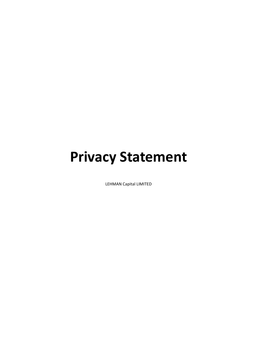# **Privacy Statement**

LEHMAN Capital LIMITED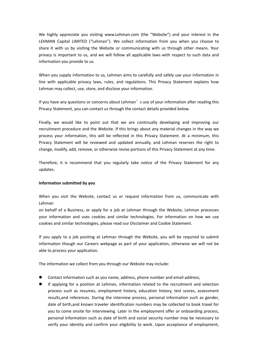We highly appreciate you visiting www.Lehman.com (the "Website") and your interest in the LEHMAN Capital LIMITED ("Lehman"). We collect information from you when you choose to share it with us by visiting the Website or communicating with us through other means. Your privacy is important to us, and we will follow all applicable laws with respect to such data and information you provide to us.

When you supply information to us, Lehman aims to carefully and safely use your information in line with applicable privacy laws, rules, and regulations.This Privacy Statement explains how Lehman may collect, use, store, and disclose your information.

If you have any questions or concerns about Lehman's use of your information after reading this Privacy Statement, you can contact us through the contact details provided below.

Finally, we would like to point out that we are continually developing and improving our recruitment procedure and the Website. If this brings about any material changes in the way we process your information, this will be reflected in this Privacy Statement. At a minimum, this Privacy Statement will be reviewed and updated annually, and Lehman reserves the right to change, modify, add, remove, or otherwise revise portions of this Privacy Statement at any time.

Therefore, it is recommend that you regularly take notice of the Privacy Statement for any updates.

## **Information submitted by you**

When you visit the Website, contact us or request information from us, communicate with Lehman

on behalf of a Business, or apply for a job at Lehman through the Website, Lehman processes your information and uses cookies and similar technologies. For information on how we use cookies and similar technologies, please read our Disclaimer and Cookie Statement.

If you apply to a job positing at Lehman through the Website, you will be required to submit information though our Careers webpage as part of your application, otherwise we will not be able to process your application.

The information we collect from you through our Website may include:

- Contact information such as you name, address, phone number and email address;
- If applying for a position at Lehman, information related to the recruitment and selection process such as resumes, employment history, education history, test scores, assessment results,and references. During the interview process, personal information such as gender, date of birth,and known traveler identification numbers may be collected to book travel for you to come onsite for interviewing. Later in the employment offer or onboarding process, personal information such as date of birth and social security number may be necessary to verify your identity and confirm your eligibility to work. Upon acceptance of employment,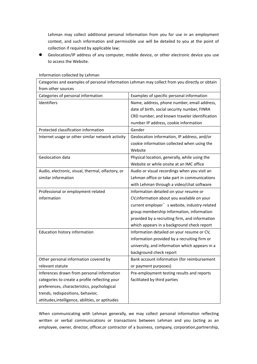Lehman may collect additional personal information from you for use in an employment context, and such information and permissible use will be detailed to you at the point of collection if required by applicable law;

 Geolocation/IP address of any computer, mobile device, or other electronic device you use to access the Website.

| Categories and examples of personal information Lehman may collect from you directly or obtain |                                                |
|------------------------------------------------------------------------------------------------|------------------------------------------------|
| from other sources                                                                             |                                                |
| Categories of personal information                                                             | Examples of specific personal information      |
| <b>Identifiers</b>                                                                             | Name, address, phone number, email address,    |
|                                                                                                | date of birth, social security number, FINRA   |
|                                                                                                | CRD number, and known traveler identification  |
|                                                                                                | number IP address, cookie information          |
| Protected classification information                                                           | Gender                                         |
| Internet usage or other similar network activity                                               | Geolocation information, IP address, and/or    |
|                                                                                                | cookie information collected when using the    |
|                                                                                                | Website                                        |
| Geolocation data                                                                               | Physical location, generally, while using the  |
|                                                                                                | Website or while onsite at an IMC office       |
| Audio, electronic, visual, thermal, olfactory, or                                              | Audio or visual recordings when you visit an   |
| similar information                                                                            | Lehman office or take part in communications   |
|                                                                                                | with Lehman through a video/chat software      |
| Professional or employment-related                                                             | Information detailed on your resume or         |
| information                                                                                    | CV, information about you available on your    |
|                                                                                                | current employer' s website, industry-related  |
|                                                                                                | group membership information, information      |
|                                                                                                | provided by a recruiting firm, and information |
|                                                                                                | which appears in a background check report     |
| Education history information                                                                  | Information detailed on your resume or CV,     |
|                                                                                                | information provided by a recruiting firm or   |
|                                                                                                | university, and information which appears in a |
|                                                                                                | background check report                        |
| Other personal information covered by                                                          | Bank account information (for reimbursement    |
| relevant statute                                                                               | or payment purposes)                           |
| Inferences drawn from personal information                                                     | Pre-employment testing results and reports     |
| categories to create a profile reflecting your                                                 | facilitated by third parties                   |
| preferences, characteristics, psychological                                                    |                                                |
| trends, redispositions, behavior,                                                              |                                                |
| attitudes, intelligence, abilities, or aptitudes                                               |                                                |

# Information collected by Lehman

When communicating with Lehman generally, we may collect personal information reflecting written or verbal communications or transactions between Lehman and you (acting as an employee, owner, director, officer,or contractor of a business, company, corporation,partnership,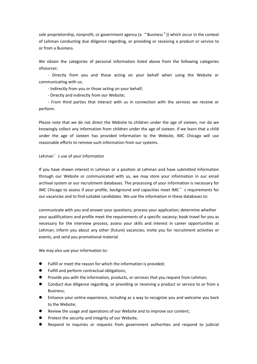sole proprietorship, nonprofit, or government agency (a "Business")) which occur in the context of Lehman conducting due diligence regarding, or providing or receiving a product or service to or from a Business.

We obtain the categories of personal information listed above from the following categories ofsources:

- Directly from you and those acting on your behalf when using the Website or communicating with us;

- Indirectly from you or those acting on your behalf;

- Directly and indirectly from our Website;

- From third parties that interact with us in connection with the services we receive or perform.

Please note that we do not direct the Website to children under the age of sixteen, nor do we knowingly collect any information from children under the age of sixteen. If we learn that a child under the age of sixteen has provided information to the Website, IMC Chicago will use reasonable efforts to remove such information from our systems.

## Lehman's use of your information

If you have shown interest in Lehman or a position at Lehman and have submitted information through our Website or communicated with us, we may store your information in our email archival system or our recruitment databases. The processing of your information is necessary for IMC Chicago to assess if your profile, background and capacities meet IMC's requirements for our vacancies and to find suitable candidates. We use the information in these databases to:

communicate with you and answer your questions; process your application; determine whether your qualifications and profile meet the requirements of a specific vacancy; book travel for you as necessary for the interview process; assess your skills and interest in career opportunities at Lehman; inform you about any other (future) vacancies; invite you for recruitment activities or events; and send you promotional material.

We may also use your information to:

- Fulfill or meet the reason for which the information is provided;
- Fulfill and perform contractual obligations;
- Provide you with the information, products, or services that you request from Lehman;
- Conduct due diligence regarding, or providing or receiving a product or service to or from a Business;
- **•** Enhance your online experience, including as a way to recognize you and welcome you back to the Website;
- Review the usage and operations of our Website and to improve our content;
- Protect the security and integrity of our Website;
- Respond to inquiries or requests from government authorities and respond to judicial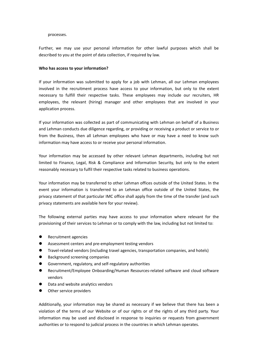#### processes.

Further, we may use your personal information for other lawful purposes which shall be described to you at the point of data collection, if required by law.

#### **Who has access to your information?**

If your information was submitted to apply for a job with Lehman, all our Lehman employees involved in the recruitment process have access to your information, but only to the extent necessary to fulfill their respective tasks. These employees may include our recruiters, HR employees, the relevant (hiring) manager and other employees that are involved in your application process.

If your information was collected as part of communicating with Lehman on behalf of a Business and Lehman conducts due diligence regarding, or providing or receiving a product or service to or from the Business, then all Lehman employees who have or may have a need to know such information may have access to or receive your personal information.

Your information may be accessed by other relevant Lehman departments, including but not limited to Finance, Legal, Risk & Compliance and Information Security, but only to the extent reasonably necessary to fulfil their respective tasks related to business operations.

Your information may be transferred to other Lehman offices outside of the United States. In the event your information is transferred to an Lehman office outside of the United States, the privacy statement of that particular IMC office shall apply from the time of the transfer (and such privacy statements are available here for your review).

The following external parties may have access to your information where relevant for the provisioning of their services to Lehman or to comply with the law, including but not limited to:

- Recruitment agencies
- Assessment centers and pre-employment testing vendors
- Travel-related vendors (including travel agencies, transportation companies, and hotels)
- Background screening companies
- Government, regulatory, and self-regulatory authorities
- Recruitment/Employee Onboarding/Human Resources-related software and cloud software vendors
- Data and website analytics vendors
- Other service providers

Additionally, your information may be shared as necessary if we believe that there has been a violation of the terms of our Website or of our rights or of the rights of any third party. Your information may be used and disclosed in response to inquiries or requests from government authorities or to respond to judicial process in the countries in which Lehman operates.